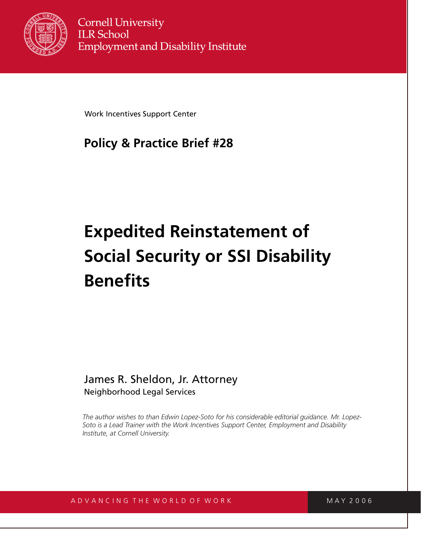

Work Incentives Support Center

# **Policy & Practice Brief #28**

# **Expedited Reinstatement of Social Security or SSI Disability Benefits**

## James R. Sheldon, Jr. Attorney Neighborhood Legal Services

*The author wishes to than Edwin Lopez-Soto for his considerable editorial guidance. Mr. Lopez-Soto is a Lead Trainer with the Work Incentives Support Center, Employment and Disability Institute, at Cornell University.*

## A D V A N C I N G T H E W O R L D O F W O R K M A W A Y 2006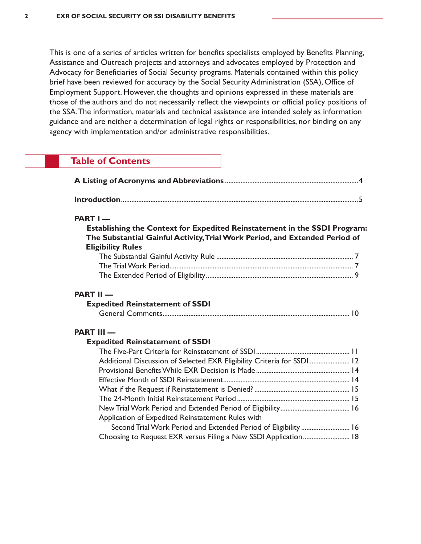This is one of a series of articles written for benefits specialists employed by Benefits Planning, Assistance and Outreach projects and attorneys and advocates employed by Protection and Advocacy for Beneficiaries of Social Security programs. Materials contained within this policy brief have been reviewed for accuracy by the Social Security Administration (SSA), Office of Employment Support. However, the thoughts and opinions expressed in these materials are those of the authors and do not necessarily reflect the viewpoints or official policy positions of the SSA.The information, materials and technical assistance are intended solely as information guidance and are neither a determination of legal rights or responsibilities, nor binding on any agency with implementation and/or administrative responsibilities.

| <b>Table of Contents</b>                                                                    |                                                                                                                                                                                                               |
|---------------------------------------------------------------------------------------------|---------------------------------------------------------------------------------------------------------------------------------------------------------------------------------------------------------------|
|                                                                                             |                                                                                                                                                                                                               |
|                                                                                             |                                                                                                                                                                                                               |
| PART I-<br><b>Eligibility Rules</b>                                                         | Establishing the Context for Expedited Reinstatement in the SSDI Program:<br>The Substantial Gainful Activity, Trial Work Period, and Extended Period of                                                      |
|                                                                                             |                                                                                                                                                                                                               |
| <b>PART II-</b><br><b>Expedited Reinstatement of SSDI</b><br><b>PART III —</b>              |                                                                                                                                                                                                               |
| <b>Expedited Reinstatement of SSDI</b><br>Application of Expedited Reinstatement Rules with | Additional Discussion of Selected EXR Eligibility Criteria for SSDI  12<br>Second Trial Work Period and Extended Period of Eligibility  16<br>Choosing to Request EXR versus Filing a New SSDI Application 18 |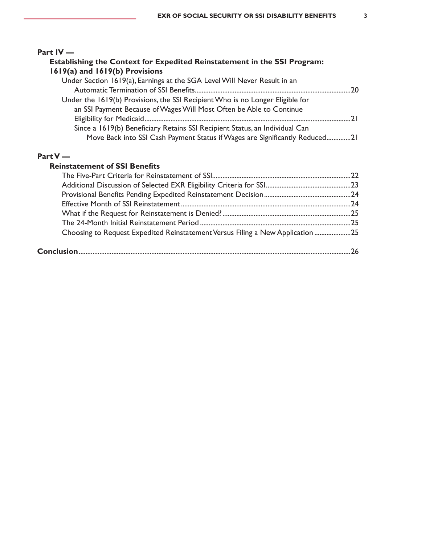| Part $IV -$                                                                   |    |
|-------------------------------------------------------------------------------|----|
| Establishing the Context for Expedited Reinstatement in the SSI Program:      |    |
| 1619(a) and 1619(b) Provisions                                                |    |
| Under Section 1619(a), Earnings at the SGA Level Will Never Result in an      |    |
|                                                                               | 20 |
| Under the 1619(b) Provisions, the SSI Recipient Who is no Longer Eligible for |    |
| an SSI Payment Because of Wages Will Most Often be Able to Continue           |    |
|                                                                               | 21 |
| Since a 1619(b) Beneficiary Retains SSI Recipient Status, an Individual Can   |    |
| Move Back into SSI Cash Payment Status if Wages are Significantly Reduced21   |    |

### **Part V —**

#### **Reinstatement of SSI Benefits**

| Choosing to Request Expedited Reinstatement Versus Filing a New Application 25 |  |
|--------------------------------------------------------------------------------|--|
|                                                                                |  |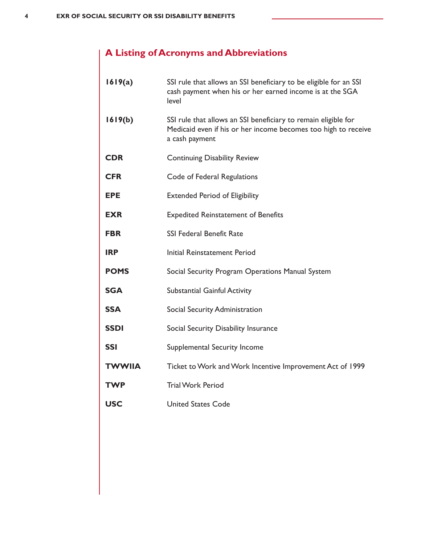# **A Listing of Acronyms and Abbreviations**

| 1619(a)       | SSI rule that allows an SSI beneficiary to be eligible for an SSI<br>cash payment when his or her earned income is at the SGA<br>level             |
|---------------|----------------------------------------------------------------------------------------------------------------------------------------------------|
| 1619(b)       | SSI rule that allows an SSI beneficiary to remain eligible for<br>Medicaid even if his or her income becomes too high to receive<br>a cash payment |
| <b>CDR</b>    | <b>Continuing Disability Review</b>                                                                                                                |
| <b>CFR</b>    | Code of Federal Regulations                                                                                                                        |
| <b>EPE</b>    | <b>Extended Period of Eligibility</b>                                                                                                              |
| <b>EXR</b>    | <b>Expedited Reinstatement of Benefits</b>                                                                                                         |
| FBR           | <b>SSI Federal Benefit Rate</b>                                                                                                                    |
| <b>IRP</b>    | Initial Reinstatement Period                                                                                                                       |
| <b>POMS</b>   | Social Security Program Operations Manual System                                                                                                   |
| <b>SGA</b>    | <b>Substantial Gainful Activity</b>                                                                                                                |
| <b>SSA</b>    | Social Security Administration                                                                                                                     |
| <b>SSDI</b>   | Social Security Disability Insurance                                                                                                               |
| <b>SSI</b>    | <b>Supplemental Security Income</b>                                                                                                                |
| <b>TWWIIA</b> | Ticket to Work and Work Incentive Improvement Act of 1999                                                                                          |
| <b>TWP</b>    | <b>Trial Work Period</b>                                                                                                                           |
| <b>USC</b>    | <b>United States Code</b>                                                                                                                          |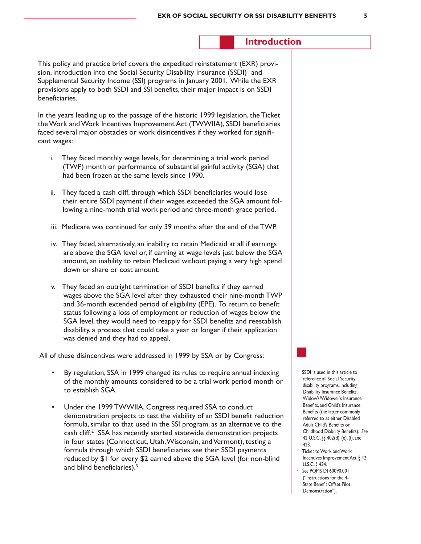#### **Introduction**

This policy and practice brief covers the expedited reinstatement (EXR) provision, introduction into the Social Security Disability Insurance (SSDI)<sup>1</sup> and Supplemental Security Income (SSI) programs in January 2001. While the EXR provisions apply to both SSDI and SSI benefits, their major impact is on SSDI beneficiaries.

In the years leading up to the passage of the historic 1999 legislation, the Ticket theWork andWork Incentives Improvement Act (TWWIIA), SSDI beneficiaries faced several major obstacles or work disincentives if they worked for significant wages:

- i. They faced monthly wage levels, for determining a trial work period (TWP) month or performance of substantial gainful activity (SGA) that had been frozen at the same levels since 1990.
- ii. They faced a cash cliff, through which SSDI beneficiaries would lose their entire SSDI payment if their wages exceeded the SGA amount following a nine-month trial work period and three-month grace period.
- iii. Medicare was continued for only 39 months after the end of the TWP.
- iv. They faced, alternatively, an inability to retain Medicaid at all if earnings are above the SGA level or, if earning at wage levels just below the SGA amount, an inability to retain Medicaid without paying a very high spend down or share or cost amount.
- v. They faced an outright termination of SSDI benefits if they earned wages above the SGA level after they exhausted their nine-month TWP and 36-month extended period of eligibility (EPE). To return to benefit status following a loss of employment or reduction of wages below the SGA level, they would need to reapply for SSDI benefits and reestablish disability, a process that could take a year or longer if their application was denied and they had to appeal.

All of these disincentives were addressed in 1999 by SSA or by Congress:

- By regulation, SSA in 1999 changed its rules to require annual indexing of the monthly amounts considered to be a trial work period month or to establish SGA.
- Under the 1999 TWWIIA, Congress required SSA to conduct demonstration projects to test the viability of an SSDI benefit reduction formula, similar to that used in the SSI program, as an alternative to the cash cliff.<sup>2</sup> SSA has recently started statewide demonstration projects in four states (Connecticut, Utah, Wisconsin, and Vermont), testing a formula through which SSDI beneficiaries see their SSDI payments reduced by \$1 for every \$2 earned above the SGA level (for non-blind and blind beneficiaries).<sup>3</sup>
- <sup>1</sup> SSDI is used in this article to reference all Social Security disability programs, including Disability Insurance Benefits, Widow's/Widower's Insurance Benefits, and Child's Insurance Benefits (the latter commonly referred to as either Disabled Adult Child's Benefits or Childhood Diability Benefits). *See*  42 U.S.C. §§ 402(d), (e), (f), and 423.
- <sup>2</sup> Ticket to Work and Work Incentives Improvement Act, § 42 U.S.C. § 434.
- <sup>3</sup> *See* POMS DI 60090.001 ("Instructions for the 4- State Benefit Offset Pilot Demonstration").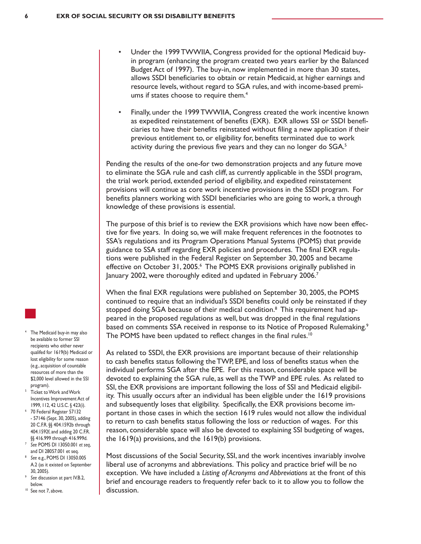- Under the 1999 TWWIIA, Congress provided for the optional Medicaid buyin program (enhancing the program created two years earlier by the Balanced Budget Act of 1997). The buy-in, now implemented in more than 30 states, allows SSDI beneficiaries to obtain or retain Medicaid, at higher earnings and resource levels, without regard to SGA rules, and with income-based premiums if states choose to require them.<sup>4</sup>
- Finally, under the 1999 TWWIIA, Congress created the work incentive known as expedited reinstatement of benefits (EXR). EXR allows SSI or SSDI beneficiaries to have their benefits reinstated without filing a new application if their previous entitlement to, or eligibility for, benefits terminated due to work activity during the previous five years and they can no longer do SGA.<sup>5</sup>

Pending the results of the one-for two demonstration projects and any future move to eliminate the SGA rule and cash cliff, as currently applicable in the SSDI program, the trial work period, extended period of eligibility, and expedited reinstatement provisions will continue as core work incentive provisions in the SSDI program. For benefits planners working with SSDI beneficiaries who are going to work, a through knowledge of these provisions is essential.

The purpose of this brief is to review the EXR provisions which have now been effective for five years. In doing so, we will make frequent references in the footnotes to SSA's regulations and its Program Operations Manual Systems (POMS) that provide guidance to SSA staff regarding EXR policies and procedures. The final EXR regulations were published in the Federal Register on September 30, 2005 and became effective on October 31, 2005.<sup>6</sup> The POMS EXR provisions originally published in January 2002, were thoroughly edited and updated in February 2006.<sup>7</sup>

When the final EXR regulations were published on September 30, 2005, the POMS continued to require that an individual's SSDI benefits could only be reinstated if they stopped doing SGA because of their medical condition.<sup>8</sup> This requirement had appeared in the proposed regulations as well, but was dropped in the final regulations based on comments SSA received in response to its Notice of Proposed Rulemaking.<sup>9</sup> The POMS have been updated to reflect changes in the final rules.<sup>10</sup>

As related to SSDI, the EXR provisions are important because of their relationship to cash benefits status following the TWP, EPE, and loss of benefits status when the individual performs SGA after the EPE. For this reason, considerable space will be devoted to explaining the SGA rule, as well as the TWP and EPE rules. As related to SSI, the EXR provisions are important following the loss of SSI and Medicaid eligibility. This usually occurs after an individual has been eligible under the 1619 provisions and subsequently loses that eligibility. Specifically, the EXR provisions become important in those cases in which the section 1619 rules would not allow the individual to return to cash benefits status following the loss or reduction of wages. For this reason, considerable space will also be devoted to explaining SSI budgeting of wages, the 1619(a) provisions, and the 1619(b) provisions.

Most discussions of the Social Security, SSI, and the work incentives invariably involve liberal use of acronyms and abbreviations. This policy and practice brief will be no exception. We have included a *Listing of Acronyms and Abbreviations* at the front of this brief and encourage readers to frequently refer back to it to allow you to follow the discussion.

- The Medicaid buy-in may also be available to former SSI recipients who either never qualifed for 1619(b) Medicaid or lost eligibility for some reason (e.g., acquisition of countable resources of more than the \$2,000 level allowed in the SSI program).
- <sup>5</sup> Ticket to Work and Work Incentives Improvement Act of 1999, 112, 42 U.S.C. § 423(i).
- 70 Federal Register 57132 - 57146 (Sept. 30, 2005), adding 20 C.F.R. §§ 404.1592b through 404.1592f, and adding 20 C.F.R. §§ 416.999 through 416.999d.
- <sup>7</sup> *See* POMS DI 13050.001 *et seq*, and DI 28057.001 et seq.
- <sup>8</sup> *See* e.g., POMS DI 13050.005 A.2 (as it existed on September 30, 2005).
- <sup>9</sup> *See* discussion at part IV.B.2, below.
- <sup>10</sup> See not 7, above.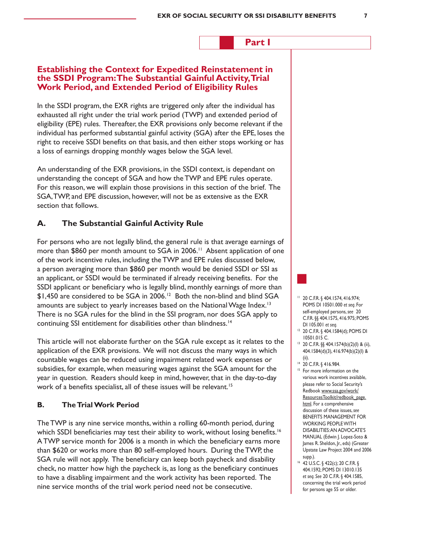#### **Part I**

#### **Establishing the Context for Expedited Reinstatement in the SSDI Program: The Substantial Gainful Activity, Trial Work Period, and Extended Period of Eligibility Rules**

In the SSDI program, the EXR rights are triggered only after the individual has exhausted all right under the trial work period (TWP) and extended period of eligibility (EPE) rules. Thereafter, the EXR provisions only become relevant if the individual has performed substantial gainful activity (SGA) after the EPE, loses the right to receive SSDI benefits on that basis, and then either stops working or has a loss of earnings dropping monthly wages below the SGA level.

An understanding of the EXR provisions, in the SSDI context, is dependant on understanding the concept of SGA and how the TWP and EPE rules operate. For this reason, we will explain those provisions in this section of the brief. The SGA,TWP, and EPE discussion, however, will not be as extensive as the EXR section that follows.

#### **A. The Substantial Gainful Activity Rule**

For persons who are not legally blind, the general rule is that average earnings of more than \$860 per month amount to SGA in 2006.<sup>11</sup> Absent application of one of the work incentive rules, including the TWP and EPE rules discussed below, a person averaging more than \$860 per month would be denied SSDI or SSI as an applicant, or SSDI would be terminated if already receiving benefits. For the SSDI applicant or beneficiary who is legally blind, monthly earnings of more than \$1,450 are considered to be SGA in 2006.12 Both the non-blind and blind SGA amounts are subject to yearly increases based on the National Wage Index.<sup>13</sup> There is no SGA rules for the blind in the SSI program, nor does SGA apply to continuing SSI entitlement for disabilities other than blindness.14

This article will not elaborate further on the SGA rule except as it relates to the application of the EXR provisions. We will not discuss the many ways in which countable wages can be reduced using impairment related work expenses or subsidies, for example, when measuring wages against the SGA amount for the year in question. Readers should keep in mind, however, that in the day-to-day work of a benefits specialist, all of these issues will be relevant.<sup>15</sup>

#### **B. The Trial Work Period**

The TWP is any nine service months, within a rolling 60-month period, during which SSDI beneficiaries may test their ability to work, without losing benefits.<sup>16</sup> ATWP service month for 2006 is a month in which the beneficiary earns more than \$620 or works more than 80 self-employed hours. During the TWP, the SGA rule will not apply. The beneficiary can keep both paycheck and disability check, no matter how high the paycheck is, as long as the beneficiary continues to have a disabling impairment and the work activity has been reported. The nine service months of the trial work period need not be consecutive.

- <sup>11</sup> 20 C.F.R. § 404.1574, 416.974; POMS DI 10501.000 *et seq*. For self-employed persons,*see* 20 C.F.R. §§ 404.1575, 416.975; POMS DI 105.001 *et seq*.
- <sup>12</sup> 20 C.F.R. § 404.1584(d); POMS DI 10501.015 C.
- <sup>13</sup> 20 C.F.R. §§ 404.1574(b)(2)(I) & (ii), 404.1584(d)(3), 416.974(b)(2)(I) & (ii).
- <sup>14</sup> 20 C.F.R. § 416.984.
- <sup>15</sup> For more information on the various work incentives available, please refer to Social Security's Redbook www.ssa.gov/work/ ResourcesToolkit/redbook\_page. html. For a comprehensive discussion of these issues,*see* BENEFITS MANAGEMENT FOR WORKING PEOPLEWITH DISABILITIES:AN ADVOCATE'S MANUAL (Edwin J. Lopez-Soto & James R. Sheldon, Jr., eds) (Greater Upstate Law Project 2004 and 2006 supp.).
- <sup>16</sup> 42 U.S.C. § 422(c); 20 C.F.R. § 404.1592; POMS DI 13010.135 *et seq. See* 20 C.F.R. § 404.1585, concerning the trial work period for persons age 55 or older.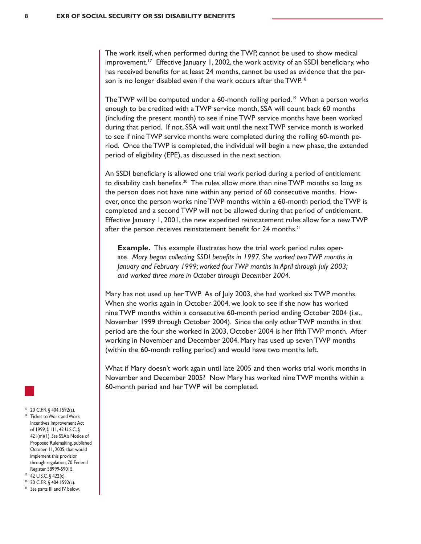The work itself, when performed during the TWP, cannot be used to show medical improvement.<sup>17</sup> Effective January 1, 2002, the work activity of an SSDI beneficiary, who has received benefits for at least 24 months, cannot be used as evidence that the person is no longer disabled even if the work occurs after the TWP.<sup>18</sup>

The TWP will be computed under a 60-month rolling period.<sup>19</sup> When a person works enough to be credited with a TWP service month, SSA will count back 60 months (including the present month) to see if nine TWP service months have been worked during that period. If not, SSA will wait until the next TWP service month is worked to see if nine TWP service months were completed during the rolling 60-month period. Once the TWP is completed, the individual will begin a new phase, the extended period of eligibility (EPE), as discussed in the next section.

An SSDI beneficiary is allowed one trial work period during a period of entitlement to disability cash benefits.<sup>20</sup> The rules allow more than nine TWP months so long as the person does not have nine within any period of 60 consecutive months. However, once the person works nine TWP months within a 60-month period, the TWP is completed and a second TWP will not be allowed during that period of entitlement. Effective January 1, 2001, the new expedited reinstatement rules allow for a new TWP after the person receives reinstatement benefit for 24 months.<sup>21</sup>

**Example.** This example illustrates how the trial work period rules operate. *Mary began collecting SSDI benefits in 1997. She worked two TWP months in January and February 1999; worked four TWP months in April through July 2003; and worked three more in October through December 2004.*

Mary has not used up her TWP. As of July 2003, she had worked six TWP months. When she works again in October 2004, we look to see if she now has worked nine TWP months within a consecutive 60-month period ending October 2004 (i.e., November 1999 through October 2004). Since the only other TWP months in that period are the four she worked in 2003, October 2004 is her fifth TWP month. After working in November and December 2004, Mary has used up seven TWP months (within the 60-month rolling period) and would have two months left.

What if Mary doesn't work again until late 2005 and then works trial work months in November and December 2005? Now Mary has worked nine TWP months within a 60-month period and her TWP will be completed.

- 
- 17 20 C.F.R. § 404.1592(a).
- <sup>18</sup> Ticket to Work and Work Incentives Improvement Act of 1999, § 111, 42 U.S.C. § 421(m)(1). *See* SSA's Notice of Proposed Rulemaking, published October 11, 2005, that would implement this provision through regulation, 70 Federal Register 58999-59015.
- <sup>19</sup> 42 U.S.C. § 422(c).
- <sup>20</sup> 20 C.F.R. § 404.1592(c).
- <sup>21</sup> See parts III and IV, below.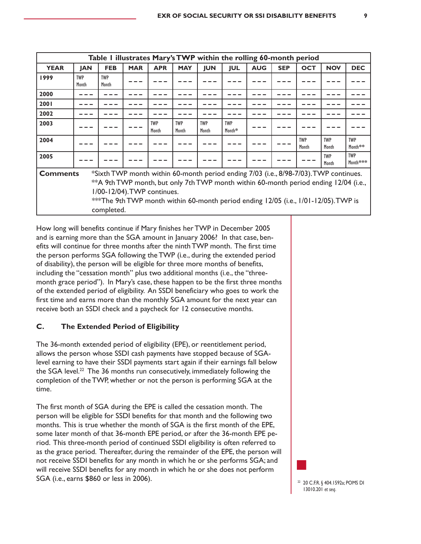| Table I illustrates Mary's TWP within the rolling 60-month period                                                                                                                                                                                                                                                                     |                     |                     |            |                     |                     |                     |                      |            |            |                     |                     |                        |
|---------------------------------------------------------------------------------------------------------------------------------------------------------------------------------------------------------------------------------------------------------------------------------------------------------------------------------------|---------------------|---------------------|------------|---------------------|---------------------|---------------------|----------------------|------------|------------|---------------------|---------------------|------------------------|
| <b>YEAR</b>                                                                                                                                                                                                                                                                                                                           | <b>JAN</b>          | <b>FEB</b>          | <b>MAR</b> | <b>APR</b>          | <b>MAY</b>          | <b>JUN</b>          | <b>JUL</b>           | <b>AUG</b> | <b>SEP</b> | <b>OCT</b>          | <b>NOV</b>          | <b>DEC</b>             |
| 1999                                                                                                                                                                                                                                                                                                                                  | <b>TWP</b><br>Month | <b>TWP</b><br>Month |            |                     |                     |                     |                      |            |            |                     |                     |                        |
| 2000                                                                                                                                                                                                                                                                                                                                  |                     |                     |            |                     |                     |                     |                      |            |            |                     |                     |                        |
| 2001                                                                                                                                                                                                                                                                                                                                  |                     |                     |            |                     |                     |                     |                      |            |            |                     |                     |                        |
| 2002                                                                                                                                                                                                                                                                                                                                  |                     |                     |            |                     |                     |                     |                      |            |            |                     |                     |                        |
| 2003                                                                                                                                                                                                                                                                                                                                  |                     |                     |            | <b>TWP</b><br>Month | <b>TWP</b><br>Month | <b>TWP</b><br>Month | <b>TWP</b><br>Month* |            |            |                     |                     |                        |
| 2004                                                                                                                                                                                                                                                                                                                                  |                     |                     |            |                     |                     |                     |                      |            |            | <b>TWP</b><br>Month | <b>TWP</b><br>Month | <b>TWP</b><br>Month**  |
| 2005                                                                                                                                                                                                                                                                                                                                  |                     |                     |            |                     |                     |                     |                      |            |            |                     | <b>TWP</b><br>Month | <b>TWP</b><br>Month*** |
| *Sixth TWP month within 60-month period ending 7/03 (i.e., 8/98-7/03). TWP continues.<br><b>Comments</b><br>** A 9th TWP month, but only 7th TWP month within 60-month period ending 12/04 (i.e.,<br>1/00-12/04). TWP continues.<br>***The 9th TWP month within 60-month period ending 12/05 (i.e., 1/01-12/05). TWP is<br>completed. |                     |                     |            |                     |                     |                     |                      |            |            |                     |                     |                        |

How long will benefits continue if Mary finishes her TWP in December 2005 and is earning more than the SGA amount in January 2006? In that case, benefits will continue for three months after the ninthTWP month. The first time the person performs SGA following the TWP (i.e., during the extended period of disability), the person will be eligible for three more months of benefits, including the "cessation month" plus two additional months (i.e., the "threemonth grace period"). In Mary's case, these happen to be the first three months of the extended period of eligibility. An SSDI beneficiary who goes to work the first time and earns more than the monthly SGA amount for the next year can receive both an SSDI check and a paycheck for 12 consecutive months.

#### **C. The Extended Period of Eligibility**

The 36-month extended period of eligibility (EPE), or reentitlement period, allows the person whose SSDI cash payments have stopped because of SGAlevel earning to have their SSDI payments start again if their earnings fall below the SGA level.<sup>22</sup> The 36 months run consecutively, immediately following the completion of the TWP, whether or not the person is performing SGA at the time.

The first month of SGA during the EPE is called the cessation month. The person will be eligible for SSDI benefits for that month and the following two months. This is true whether the month of SGA is the first month of the EPE, some later month of that 36-month EPE period, or after the 36-month EPE period. This three-month period of continued SSDI eligibility is often referred to as the grace period. Thereafter, during the remainder of the EPE, the person will not receive SSDI benefits for any month in which he or she performs SGA; and will receive SSDI benefits for any month in which he or she does not perform SGA (i.e., earns \$860 or less in 2006). 22 20 C.F.R. § 404.1592a; POMS DI

13010.201 *et seq*.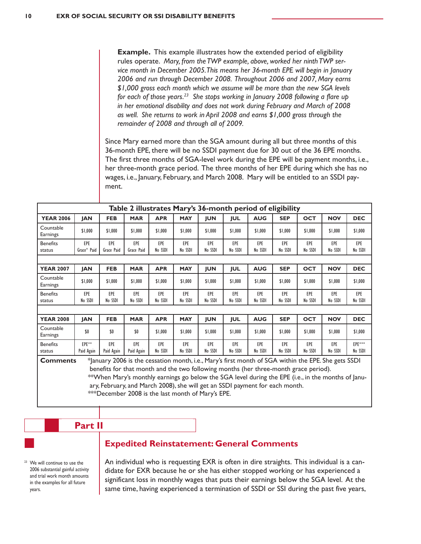**Example.** This example illustrates how the extended period of eligibility rules operate. *Mary, from the TWP example, above, worked her ninth TWP service month in December 2005. This means her 36-month EPE will begin in January 2006 and run through December 2008. Throughout 2006 and 2007, Mary earns \$1,000 gross each month which we assume will be more than the new SGA levels for each of those years.23 She stops working in January 2008 following a flare up in her emotional disability and does not work during February and March of 2008 as well. She returns to work in April 2008 and earns \$1,000 gross through the remainder of 2008 and through all of 2009.*

Since Mary earned more than the SGA amount during all but three months of this 36-month EPE, there will be no SSDI payment due for 30 out of the 36 EPE months. The first three months of SGA-level work during the EPE will be payment months, i.e., her three-month grace period. The three months of her EPE during which she has no wages, i.e., January, February, and March 2008. Mary will be entitled to an SSDI payment.

| Table 2 illustrates Mary's 36-month period of eligibility                                                                                                                                                      |                     |                   |                   |                |                |                |                |                |                |                |                |                   |
|----------------------------------------------------------------------------------------------------------------------------------------------------------------------------------------------------------------|---------------------|-------------------|-------------------|----------------|----------------|----------------|----------------|----------------|----------------|----------------|----------------|-------------------|
| <b>YEAR 2006</b>                                                                                                                                                                                               | <b>JAN</b>          | <b>FEB</b>        | <b>MAR</b>        | <b>APR</b>     | <b>MAY</b>     | <b>JUN</b>     | JUL            | <b>AUG</b>     | <b>SEP</b>     | <b>OCT</b>     | <b>NOV</b>     | <b>DEC</b>        |
| Countable<br>Earnings                                                                                                                                                                                          | \$1,000             | \$1,000           | \$1,000           | \$1,000        | \$1,000        | \$1,000        | \$1,000        | \$1,000        | \$1,000        | \$1,000        | \$1,000        | \$1,000           |
| <b>Benefits</b><br>status                                                                                                                                                                                      | EPE<br>Grace* Paid  | EPE<br>Grace Paid | EPE<br>Grace Paid | EPE<br>No SSDI | EPE<br>No SSDI | EPE<br>No SSDI | EPE<br>No SSDI | EPE<br>No SSDI | EPE<br>No SSDI | EPE<br>No SSDI | EPE<br>No SSDI | EPE<br>No SSDI    |
|                                                                                                                                                                                                                |                     |                   |                   |                |                |                |                |                |                |                |                |                   |
| <b>YEAR 2007</b>                                                                                                                                                                                               | <b>JAN</b>          | <b>FEB</b>        | <b>MAR</b>        | <b>APR</b>     | <b>MAY</b>     | <b>JUN</b>     | JUL            | <b>AUG</b>     | <b>SEP</b>     | <b>OCT</b>     | <b>NOV</b>     | <b>DEC</b>        |
| Countable<br>Earnings                                                                                                                                                                                          | \$1,000             | \$1,000           | \$1,000           | \$1,000        | \$1,000        | \$1,000        | \$1,000        | \$1,000        | \$1,000        | \$1,000        | \$1,000        | \$1,000           |
| <b>Benefits</b><br>status                                                                                                                                                                                      | EPE<br>No SSDI      | EPE<br>No SSDI    | EPE<br>No SSDI    | EPE<br>No SSDI | EPE<br>No SSDI | EPE<br>No SSDI | EPE<br>No SSDI | EPE<br>No SSDI | EPE<br>No SSDI | EPE<br>No SSDI | EPE<br>No SSDI | EPE<br>No SSDI    |
|                                                                                                                                                                                                                |                     |                   |                   |                |                |                |                |                |                |                |                |                   |
| <b>YEAR 2008</b>                                                                                                                                                                                               | <b>JAN</b>          | <b>FEB</b>        | <b>MAR</b>        | <b>APR</b>     | <b>MAY</b>     | <b>JUN</b>     | <b>JUL</b>     | <b>AUG</b>     | <b>SEP</b>     | <b>OCT</b>     | <b>NOV</b>     | <b>DEC</b>        |
| Countable<br>Earnings                                                                                                                                                                                          | \$0                 | \$0               | \$0               | \$1,000        | \$1,000        | \$1,000        | \$1,000        | \$1,000        | \$1,000        | \$1,000        | \$1,000        | \$1,000           |
| <b>Benefits</b><br>status                                                                                                                                                                                      | EPE**<br>Paid Again | EPE<br>Paid Again | EPE<br>Paid Again | EPE<br>No SSDI | EPE<br>No SSDI | EPE<br>No SSDI | EPE<br>No SSDI | EPE<br>No SSDI | EPE<br>No SSDI | EPE<br>No SSDI | EPE<br>No SSDI | EPE***<br>No SSDI |
| *January 2006 is the cessation month, i.e., Mary's first month of SGA within the EPE. She gets SSDI<br><b>Comments</b><br>benefits for that month and the two following months (her three-month grace period). |                     |                   |                   |                |                |                |                |                |                |                |                |                   |

 \*\*When Mary's monthly earnings go below the SGA level during the EPE (i.e., in the months of January, February, and March 2008), she will get an SSDI payment for each month.

\*\*\*December 2008 is the last month of Mary's EPE.

# **Part II**

#### **Expedited Reinstatement: General Comments**

<sup>23</sup> We will continue to use the 2006 substantial gainful activity and trial work month amounts in the examples for all future years.

An individual who is requesting EXR is often in dire straights. This individual is a candidate for EXR because he or she has either stopped working or has experienced a significant loss in monthly wages that puts their earnings below the SGA level. At the same time, having experienced a termination of SSDI or SSI during the past five years,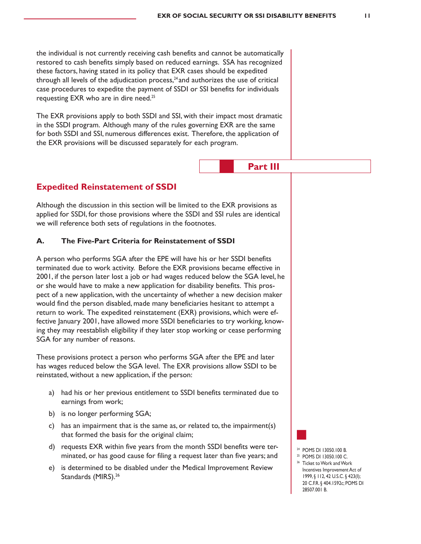**Part III**

the individual is not currently receiving cash benefits and cannot be automatically restored to cash benefits simply based on reduced earnings. SSA has recognized these factors, having stated in its policy that EXR cases should be expedited through all levels of the adjudication process, $<sup>24</sup>$  and authorizes the use of critical</sup> case procedures to expedite the payment of SSDI or SSI benefits for individuals requesting EXR who are in dire need.<sup>25</sup>

The EXR provisions apply to both SSDI and SSI, with their impact most dramatic in the SSDI program. Although many of the rules governing EXR are the same for both SSDI and SSI, numerous differences exist. Therefore, the application of the EXR provisions will be discussed separately for each program.

## **Expedited Reinstatement of SSDI**

Although the discussion in this section will be limited to the EXR provisions as applied for SSDI, for those provisions where the SSDI and SSI rules are identical we will reference both sets of regulations in the footnotes.

#### **A. The Five-Part Criteria for Reinstatement of SSDI**

A person who performs SGA after the EPE will have his or her SSDI benefits terminated due to work activity. Before the EXR provisions became effective in 2001, if the person later lost a job or had wages reduced below the SGA level, he or she would have to make a new application for disability benefits. This prospect of a new application, with the uncertainty of whether a new decision maker would find the person disabled, made many beneficiaries hesitant to attempt a return to work. The expedited reinstatement (EXR) provisions, which were effective January 2001, have allowed more SSDI beneficiaries to try working, knowing they may reestablish eligibility if they later stop working or cease performing SGA for any number of reasons.

These provisions protect a person who performs SGA after the EPE and later has wages reduced below the SGA level. The EXR provisions allow SSDI to be reinstated, without a new application, if the person:

- a) had his or her previous entitlement to SSDI benefits terminated due to earnings from work;
- b) is no longer performing SGA;
- c) has an impairment that is the same as, or related to, the impairment(s) that formed the basis for the original claim;
- d) requests EXR within five years from the month SSDI benefits were terminated, or has good cause for filing a request later than five years; and
- e) is determined to be disabled under the Medical Improvement Review Standards (MIRS).<sup>26</sup>

<sup>24</sup> POMS DI 13050.100 B.

- <sup>25</sup> POMS DI 13050.100 C.
- <sup>26</sup> Ticket to Work and Work Incentives Improvement Act of 1999, § 112, 42 U.S.C. § 423(I); 20 C.F.R. § 404.1592c; POMS DI 28507.001 B.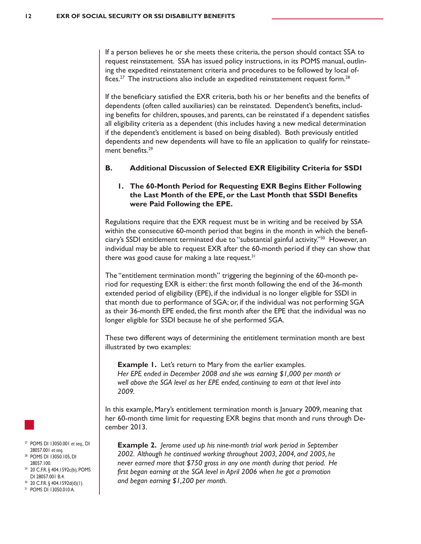If a person believes he or she meets these criteria, the person should contact SSA to request reinstatement. SSA has issued policy instructions, in its POMS manual, outlining the expedited reinstatement criteria and procedures to be followed by local offices.<sup>27</sup> The instructions also include an expedited reinstatement request form.<sup>28</sup>

If the beneficiary satisfied the EXR criteria, both his or her benefits and the benefits of dependents (often called auxiliaries) can be reinstated. Dependent's benefits, including benefits for children, spouses, and parents, can be reinstated if a dependent satisfies all eligibility criteria as a dependent (this includes having a new medical determination if the dependent's entitlement is based on being disabled). Both previously entitled dependents and new dependents will have to file an application to qualify for reinstatement benefits.<sup>29</sup>

#### **B. Additional Discussion of Selected EXR Eligibility Criteria for SSDI**

#### **1. The 60-Month Period for Requesting EXR Begins Either Following the Last Month of the EPE, or the Last Month that SSDI Benefits were Paid Following the EPE.**

Regulations require that the EXR request must be in writing and be received by SSA within the consecutive 60-month period that begins in the month in which the beneficiary's SSDI entitlement terminated due to "substantial gainful activity."<sup>30</sup> However, an individual may be able to request EXR after the 60-month period if they can show that there was good cause for making a late request.<sup>31</sup>

The "entitlement termination month" triggering the beginning of the 60-month period for requesting EXR is either: the first month following the end of the 36-month extended period of eligibility (EPE), if the individual is no longer eligible for SSDI in that month due to performance of SGA; or, if the individual was not performing SGA as their 36-month EPE ended, the first month after the EPE that the individual was no longer eligible for SSDI because he of she performed SGA.

These two different ways of determining the entitlement termination month are best illustrated by two examples:

**Example 1.** Let's return to Mary from the earlier examples. *Her EPE ended in December 2008 and she was earning \$1,000 per month or well above the SGA level as her EPE ended, continuing to earn at that level into 2009.*

In this example, Mary's entitlement termination month is January 2009, meaning that her 60-month time limit for requesting EXR begins that month and runs through December 2013.

**Example 2.** *Jerome used up his nine-month trial work period in September 2002. Although he continued working throughout 2003, 2004, and 2005, he never earned more that \$750 gross in any one month during that period. He*  first began earning at the SGA level in April 2006 when he got a promotion *and began earning \$1,200 per month.*



- <sup>27</sup> POMS DI 13050.001 *et seq.,* DI 28057.001 *et seq*.
- <sup>28</sup> POMS DI 13050.105, DI 28057.100.
- <sup>29</sup> 20 C.F.R. § 404.1592c(b), POMS DI 28057.001 B.4.
- $30$  20 C.F.R. § 404.1592d(d)(1). <sup>31</sup> POMS DI 13050.010 A.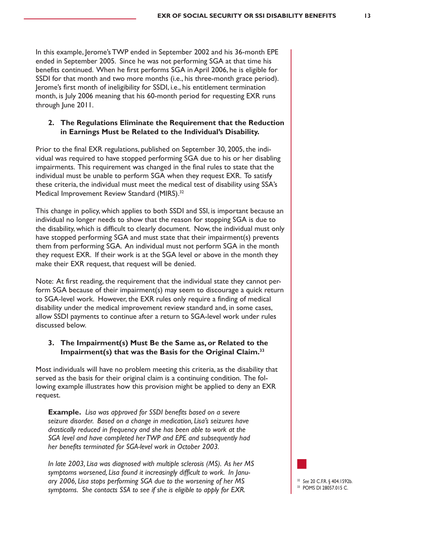In this example, Jerome's TWP ended in September 2002 and his 36-month EPE ended in September 2005. Since he was not performing SGA at that time his benefits continued. When he first performs SGA in April 2006, he is eligible for SSDI for that month and two more months (i.e., his three-month grace period). Jerome's first month of ineligibility for SSDI, i.e., his entitlement termination month, is July 2006 meaning that his 60-month period for requesting EXR runs through June 2011.

#### **2. The Regulations Eliminate the Requirement that the Reduction in Earnings Must be Related to the Individual's Disability.**

Prior to the final EXR regulations, published on September 30, 2005, the individual was required to have stopped performing SGA due to his or her disabling impairments. This requirement was changed in the final rules to state that the individual must be unable to perform SGA when they request EXR. To satisfy these criteria, the individual must meet the medical test of disability using SSA's Medical Improvement Review Standard (MIRS).<sup>32</sup>

This change in policy, which applies to both SSDI and SSI, is important because an individual no longer needs to show that the reason for stopping SGA is due to the disability, which is difficult to clearly document. Now, the individual must only have stopped performing SGA and must state that their impairment(s) prevents them from performing SGA. An individual must not perform SGA in the month they request EXR. If their work is at the SGA level or above in the month they make their EXR request, that request will be denied.

Note: At first reading, the requirement that the individual state they cannot perform SGA because of their impairment(s) may seem to discourage a quick return to SGA-level work. However, the EXR rules only require a finding of medical disability under the medical improvement review standard and, in some cases, allow SSDI payments to continue after a return to SGA-level work under rules discussed below.

#### **3. The Impairment(s) Must Be the Same as, or Related to the Impairment(s) that was the Basis for the Original Claim.33**

Most individuals will have no problem meeting this criteria, as the disability that served as the basis for their original claim is a continuing condition. The following example illustrates how this provision might be applied to deny an EXR request.

**Example.** *Lisa was approved for SSDI benefits based on a severe seizure disorder. Based on a change in medication, Lisa's seizures have drastically reduced in frequency and she has been able to work at the SGA level and have completed her TWP and EPE and subsequently had her benefits terminated for SGA-level work in October 2003.*

*In late 2003, Lisa was diagnosed with multiple sclerosis (MS). As her MS symptoms worsened, Lisa found it increasingly difficult to work. In January 2006, Lisa stops performing SGA due to the worsening of her MS symptoms. She contacts SSA to see if she is eligible to apply for EXR.*

<sup>32</sup> *See* 20 C.F.R. § 404.1592b. <sup>33</sup> POMS DI 28057.015 C.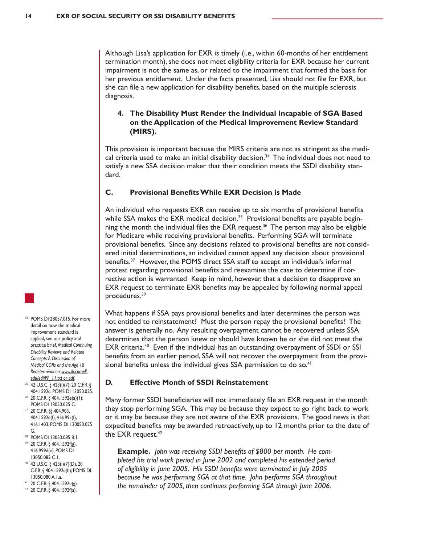Although Lisa's application for EXR is timely (i.e., within 60-months of her entitlement termination month), she does not meet eligibility criteria for EXR because her current impairment is not the same as, or related to the impairment that formed the basis for her previous entitlement. Under the facts presented, Lisa should not file for EXR, but she can file a new application for disability benefits, based on the multiple sclerosis diagnosis.

#### **4. The Disability Must Render the Individual Incapable of SGA Based on the Application of the Medical Improvement Review Standard (MIRS).**

This provision is important because the MIRS criteria are not as stringent as the medical criteria used to make an initial disability decision. $34$  The individual does not need to satisfy a new SSA decision maker that their condition meets the SSDI disability standard.

#### **C. Provisional Benefits While EXR Decision is Made**

An individual who requests EXR can receive up to six months of provisional benefits while SSA makes the EXR medical decision.<sup>35</sup> Provisional benefits are payable beginning the month the individual files the EXR request.<sup>36</sup> The person may also be eligible for Medicare while receiving provisional benefits. Performing SGA will terminate provisional benefits. Since any decisions related to provisional benefits are not considered initial determinations, an individual cannot appeal any decision about provisional benefits.37 However, the POMS direct SSA staff to accept an individual's informal protest regarding provisional benefits and reexamine the case to determine if corrective action is warranted Keep in mind, however, that a decision to disapprove an EXR request to terminate EXR benefits may be appealed by following normal appeal procedures.39

What happens if SSA pays provisional benefits and later determines the person was not entitled to reinstatement? Must the person repay the provisional benefits? The answer is generally no. Any resulting overpayment cannot be recovered unless SSA determines that the person knew or should have known he or she did not meet the EXR criteria.<sup>40</sup> Even if the individual has an outstanding overpayment of SSDI or SSI benefits from an earlier period, SSA will not recover the overpayment from the provisional benefits unless the individual gives SSA permission to do so.<sup>41</sup>

#### **D. Effective Month of SSDI Reinstatement**

Many former SSDI beneficiaries will not immediately file an EXR request in the month they stop performing SGA. This may be because they expect to go right back to work or it may be because they are not aware of the EXR provisions. The good news is that expedited benefits may be awarded retroactively, up to 12 months prior to the date of the EXR request. $42$ 

**Example.** *John was receiving SSDI benefits of \$800 per month. He completed his trial work period in June 2002 and completed his extended period of eligibility in June 2005. His SSDI benefits were terminated in July 2005 because he was performing SGA at that time. John performs SGA throughout the remainder of 2005, then continues performing SGA through June 2006.* 

- <sup>34</sup> POMS DI 28057.015. For more detail on how the medical improvement standard is applied, see our policy and practice brief, *Medical Continuing Disability Reviews and Related Concepts: A Discussion of Medical CDRs and the Age 18 Redetermination, www.ilr.cornell. edu/edi/PP\_11.txt or pdf*.
- <sup>35</sup> 42 U.S.C. § 423(i)(7); 20 C.F.R. § 404.1592e; POMS DI 13050.025.
- <sup>36</sup> 20 C.F.R. § 404.1592e(a)(1); POMS DI 13050.025 C. <sup>37</sup> 20 C.F.R. §§ 404.903, 404.1592e(f), 416.99c(f), 416.1403; POMS DI 130050.025
- G.
- <sup>38</sup> POMS DI 13050.085 B.1. <sup>39</sup> 20 C.F.R. § 404.1592f(g), 416.999d(e); POMS DI 13050.085 C.1.
- <sup>40</sup> 42 U.S.C. § 423(i)(7)(D), 20 C.F.R. § 404.1592e(h); POMS DI 13050.080 A.1.a.
- <sup>41</sup> 20 C.F.R. § 404.1592e(g).
- <sup>42</sup> 20 C.F.R. § 404.1592f(a).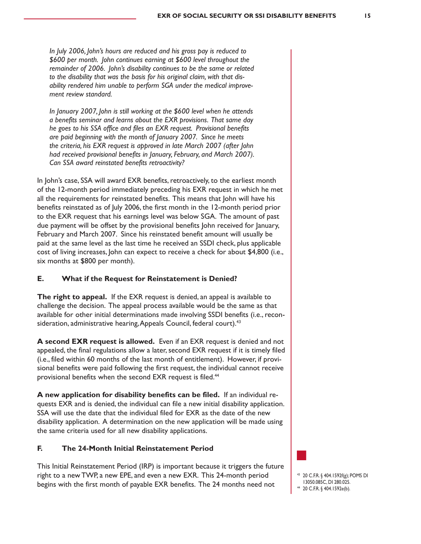*In July 2006, John's hours are reduced and his gross pay is reduced to \$600 per month. John continues earning at \$600 level throughout the remainder of 2006. John's disability continues to be the same or related to the disability that was the basis for his original claim, with that disability rendered him unable to perform SGA under the medical improvement review standard.*

*In January 2007, John is still working at the \$600 level when he attends a benefits seminar and learns about the EXR provisions. That same day he goes to his SSA office and files an EXR request. Provisional benefits are paid beginning with the month of January 2007. Since he meets the criteria, his EXR request is approved in late March 2007 (after John had received provisional benefits in January, February, and March 2007). Can SSA award reinstated benefits retroactivity?*

In John's case, SSA will award EXR benefits, retroactively, to the earliest month of the 12-month period immediately preceding his EXR request in which he met all the requirements for reinstated benefits. This means that John will have his benefits reinstated as of July 2006, the first month in the 12-month period prior to the EXR request that his earnings level was below SGA. The amount of past due payment will be offset by the provisional benefits John received for January, February and March 2007. Since his reinstated benefit amount will usually be paid at the same level as the last time he received an SSDI check, plus applicable cost of living increases, John can expect to receive a check for about \$4,800 (i.e., six months at \$800 per month).

#### **E. What if the Request for Reinstatement is Denied?**

**The right to appeal.** If the EXR request is denied, an appeal is available to challenge the decision. The appeal process available would be the same as that available for other initial determinations made involving SSDI benefits (i.e., reconsideration, administrative hearing, Appeals Council, federal court).<sup>43</sup>

**A second EXR request is allowed.** Even if an EXR request is denied and not appealed, the final regulations allow a later, second EXR request if it is timely filed (i.e., filed within 60 months of the last month of entitlement). However, if provisional benefits were paid following the first request, the individual cannot receive provisional benefits when the second EXR request is filed.<sup>44</sup>

**A new application for disability benefits can be filed.** If an individual requests EXR and is denied, the individual can file a new initial disability application. SSA will use the date that the individual filed for EXR as the date of the new disability application. A determination on the new application will be made using the same criteria used for all new disability applications.

#### **F. The 24-Month Initial Reinstatement Period**

This Initial Reinstatement Period (IRP) is important because it triggers the future right to a new TWP, a new EPE, and even a new EXR. This 24-month period begins with the first month of payable EXR benefits. The 24 months need not



<sup>44</sup> 20 C.F.R. § 404.1592e(b).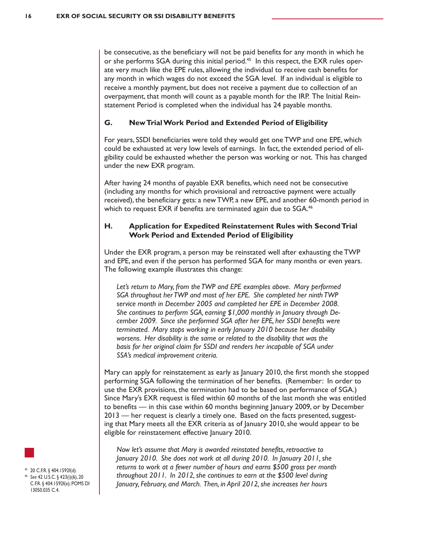be consecutive, as the beneficiary will not be paid benefits for any month in which he or she performs SGA during this initial period.<sup>45</sup> In this respect, the EXR rules operate very much like the EPE rules, allowing the individual to receive cash benefits for any month in which wages do not exceed the SGA level. If an individual is eligible to receive a monthly payment, but does not receive a payment due to collection of an overpayment, that month will count as a payable month for the IRP. The Initial Reinstatement Period is completed when the individual has 24 payable months.

#### **G. New Trial Work Period and Extended Period of Eligibility**

For years, SSDI beneficiaries were told they would get one TWP and one EPE, which could be exhausted at very low levels of earnings. In fact, the extended period of eligibility could be exhausted whether the person was working or not. This has changed under the new EXR program.

After having 24 months of payable EXR benefits, which need not be consecutive (including any months for which provisional and retroactive payment were actually received), the beneficiary gets: a new TWP, a new EPE, and another 60-month period in which to request EXR if benefits are terminated again due to SGA.<sup>46</sup>

#### **H. Application for Expedited Reinstatement Rules with Second Trial Work Period and Extended Period of Eligibility**

Under the EXR program, a person may be reinstated well after exhausting the TWP and EPE, and even if the person has performed SGA for many months or even years. The following example illustrates this change:

Let's return to Mary, from the TWP and EPE examples above. Mary performed *SGA throughout her TWP and most of her EPE. She completed her ninth TWP service month in December 2005 and completed her EPE in December 2008. She continues to perform SGA, earning \$1,000 monthly in January through December 2009. Since she performed SGA after her EPE, her SSDI benefits were terminated. Mary stops working in early January 2010 because her disability worsens. Her disability is the same or related to the disability that was the*  basis for her original claim for SSDI and renders her incapable of SGA under *SSA's medical improvement criteria.*

Mary can apply for reinstatement as early as January 2010, the first month she stopped performing SGA following the termination of her benefits. (Remember: In order to use the EXR provisions, the termination had to be based on performance of SGA.) Since Mary's EXR request is filed within 60 months of the last month she was entitled to benefits — in this case within 60 months beginning January 2009, or by December 2013 — her request is clearly a timely one. Based on the facts presented, suggesting that Mary meets all the EXR criteria as of January 2010, she would appear to be eligible for reinstatement effective January 2010.

*Now let's assume that Mary is awarded reinstated benefits, retroactive to January 2010. She does not work at all during 2010. In January 2011, she returns to work at a fewer number of hours and earns \$500 gross per month throughout 2011. In 2012, she continues to earn at the \$500 level during January, February, and March. Then, in April 2012, she increases her hours* 



<sup>45</sup> 20 C.F.R. § 404.1592f(d).

<sup>46</sup> *See* 42 U.S.C. § 423(i)(6), 20 C.F.R. § 404.1592f(e); POMS DI 13050.035 C.4.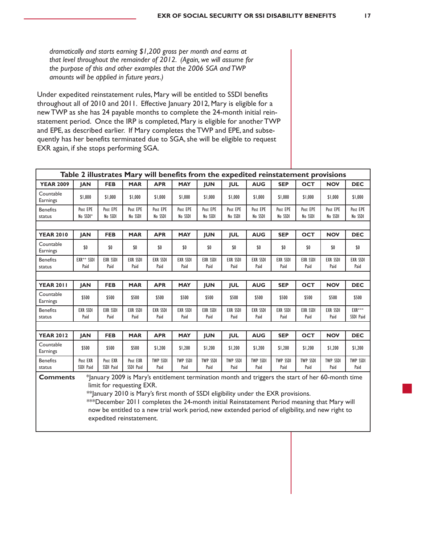*dramatically and starts earning \$1,200 gross per month and earns at that level throughout the remainder of 2012. (Again, we will assume for the purpose of this and other examples that the 2006 SGA and TWP amounts will be applied in future years.)*

Under expedited reinstatement rules, Mary will be entitled to SSDI benefits throughout all of 2010 and 2011. Effective January 2012, Mary is eligible for a new TWP as she has 24 payable months to complete the 24-month initial reinstatement period. Once the IRP is completed, Mary is eligible for another TWP and EPE, as described earlier. If Mary completes the TWP and EPE, and subsequently has her benefits terminated due to SGA, she will be eligible to request EXR again, if she stops performing SGA.

| Table 2 illustrates Mary will benefits from the expedited reinstatement provisions                                                                                                                                                       |                         |                         |                         |                         |                         |                         |                         |                         |                         |                         |                         |                         |
|------------------------------------------------------------------------------------------------------------------------------------------------------------------------------------------------------------------------------------------|-------------------------|-------------------------|-------------------------|-------------------------|-------------------------|-------------------------|-------------------------|-------------------------|-------------------------|-------------------------|-------------------------|-------------------------|
| <b>YEAR 2009</b>                                                                                                                                                                                                                         | <b>JAN</b>              | <b>FEB</b>              | <b>MAR</b>              | <b>APR</b>              | <b>MAY</b>              | <b>JUN</b>              | <b>JUL</b>              | <b>AUG</b>              | <b>SEP</b>              | <b>OCT</b>              | <b>NOV</b>              | <b>DEC</b>              |
| Countable<br>Earnings                                                                                                                                                                                                                    | \$1,000                 | \$1,000                 | \$1,000                 | \$1,000                 | \$1,000                 | \$1,000                 | \$1,000                 | \$1,000                 | \$1,000                 | \$1,000                 | \$1,000                 | \$1,000                 |
| <b>Benefits</b><br>status                                                                                                                                                                                                                | Post EPE<br>No SSDI*    | Post EPE<br>No SSDI     | Post EPE<br>No SSDI     | Post EPE<br>No SSDI     | Post EPE<br>No SSDI     | Post EPE<br>No SSDI     | Post EPE<br>No SSDI     | Post EPE<br>No SSDI     | Post EPE<br>No SSDI     | Post EPE<br>No SSDI     | Post EPE<br>No SSDI     | Post EPE<br>No SSDI     |
| <b>OCT</b><br><b>YEAR 2010</b><br><b>JAN</b><br><b>FEB</b><br><b>MAR</b><br><b>APR</b><br><b>MAY</b><br><b>JUN</b><br><b>JUL</b><br><b>AUG</b><br><b>SEP</b><br><b>NOV</b><br><b>DEC</b>                                                 |                         |                         |                         |                         |                         |                         |                         |                         |                         |                         |                         |                         |
| Countable<br>Earnings                                                                                                                                                                                                                    | \$0                     | \$0                     | \$0                     | \$0                     | \$0                     | \$0                     | \$0                     | \$0                     | \$0                     | \$0                     | \$0                     | \$0                     |
| <b>Benefits</b><br>status                                                                                                                                                                                                                | EXR** SSDI<br>Paid      | <b>EXR SSDI</b><br>Paid | <b>EXR SSDI</b><br>Paid | <b>EXR SSDI</b><br>Paid | <b>EXR SSDI</b><br>Paid | <b>EXR SSDI</b><br>Paid | <b>EXR SSDI</b><br>Paid | <b>EXR SSDI</b><br>Paid | <b>EXR SSDI</b><br>Paid | <b>EXR SSDI</b><br>Paid | <b>EXR SSDI</b><br>Paid | <b>EXR SSDI</b><br>Paid |
|                                                                                                                                                                                                                                          |                         |                         |                         |                         |                         |                         |                         |                         |                         |                         |                         |                         |
| <b>YEAR 2011</b>                                                                                                                                                                                                                         | <b>JAN</b>              | <b>FEB</b>              | <b>MAR</b>              | <b>APR</b>              | <b>MAY</b>              | <b>JUN</b>              | <b>JUL</b>              | <b>AUG</b>              | <b>SEP</b>              | <b>OCT</b>              | <b>NOV</b>              | <b>DEC</b>              |
| Countable<br>Earnings                                                                                                                                                                                                                    | \$500                   | \$500                   | \$500                   | \$500                   | \$500                   | \$500                   | \$500                   | \$500                   | \$500                   | \$500                   | \$500                   | \$500                   |
| <b>Benefits</b><br>status                                                                                                                                                                                                                | <b>EXR SSDI</b><br>Paid | <b>EXR SSDI</b><br>Paid | <b>EXR SSDI</b><br>Paid | <b>EXR SSDI</b><br>Paid | <b>EXR SSDI</b><br>Paid | <b>EXR SSDI</b><br>Paid | <b>EXR SSDI</b><br>Paid | <b>EXR SSDI</b><br>Paid | <b>EXR SSDI</b><br>Paid | <b>EXR SSDI</b><br>Paid | <b>EXR SSDI</b><br>Paid | EXR***<br>SSDI Paid     |
|                                                                                                                                                                                                                                          |                         |                         |                         |                         |                         |                         |                         |                         |                         |                         |                         |                         |
| <b>YEAR 2012</b>                                                                                                                                                                                                                         | <b>JAN</b>              | <b>FEB</b>              | <b>MAR</b>              | <b>APR</b>              | <b>MAY</b>              | <b>JUN</b>              | <b>JUL</b>              | <b>AUG</b>              | <b>SEP</b>              | <b>OCT</b>              | <b>NOV</b>              | <b>DEC</b>              |
| Countable<br>Earnings                                                                                                                                                                                                                    | \$500                   | \$500                   | \$500                   | \$1,200                 | \$1,200                 | \$1,200                 | \$1,200                 | \$1,200                 | \$1,200                 | \$1,200                 | \$1,200                 | \$1,200                 |
| <b>Benefits</b><br>status                                                                                                                                                                                                                | Post EXR<br>SSDI Paid   | Post EXR<br>SSDI Paid   | Post EXR<br>SSDI Paid   | <b>TWP SSDI</b><br>Paid | <b>TWP SSDI</b><br>Paid | <b>TWP SSDI</b><br>Paid | <b>TWP SSDI</b><br>Paid | <b>TWP SSDI</b><br>Paid | <b>TWP SSDI</b><br>Paid | <b>TWP SSDI</b><br>Paid | <b>TWP SSDI</b><br>Paid | <b>TWP SSDI</b><br>Paid |
| *January 2009 is Mary's entitlement termination month and triggers the start of her 60-month time<br><b>Comments</b><br>limit for requesting EXR.<br>** January 2010 is Mary's first month of SSDI eligibility under the EXR provisions. |                         |                         |                         |                         |                         |                         |                         |                         |                         |                         |                         |                         |
| ***December 2011 completes the 24-month initial Reinstatement Period meaning that Mary will<br>now be entitled to a new trial work period, new extended period of eligibility, and new right to                                          |                         |                         |                         |                         |                         |                         |                         |                         |                         |                         |                         |                         |
| expedited reinstatement.                                                                                                                                                                                                                 |                         |                         |                         |                         |                         |                         |                         |                         |                         |                         |                         |                         |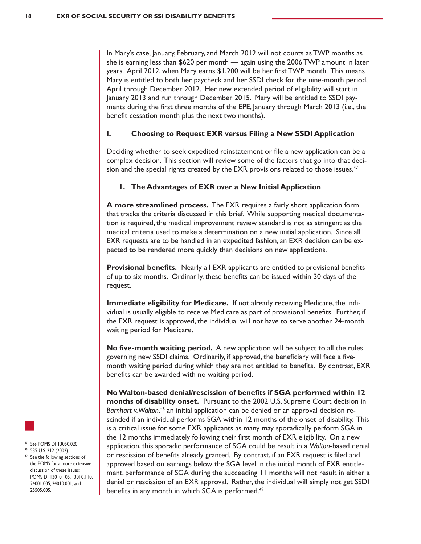In Mary's case, January, February, and March 2012 will not counts as TWP months as she is earning less than \$620 per month — again using the 2006TWP amount in later years. April 2012, when Mary earns \$1,200 will be her first TWP month. This means Mary is entitled to both her paycheck and her SSDI check for the nine-month period, April through December 2012. Her new extended period of eligibility will start in January 2013 and run through December 2015. Mary will be entitled to SSDI payments during the first three months of the EPE, January through March 2013 (i.e., the benefit cessation month plus the next two months).

#### **I. Choosing to Request EXR versus Filing a New SSDI Application**

Deciding whether to seek expedited reinstatement or file a new application can be a complex decision. This section will review some of the factors that go into that decision and the special rights created by the EXR provisions related to those issues. $47$ 

#### **1. The Advantages of EXR over a New Initial Application**

**A more streamlined process.** The EXR requires a fairly short application form that tracks the criteria discussed in this brief. While supporting medical documentation is required, the medical improvement review standard is not as stringent as the medical criteria used to make a determination on a new initial application. Since all EXR requests are to be handled in an expedited fashion, an EXR decision can be expected to be rendered more quickly than decisions on new applications.

**Provisional benefits.** Nearly all EXR applicants are entitled to provisional benefits of up to six months. Ordinarily, these benefits can be issued within 30 days of the request.

**Immediate eligibility for Medicare.** If not already receiving Medicare, the individual is usually eligible to receive Medicare as part of provisional benefits. Further, if the EXR request is approved, the individual will not have to serve another 24-month waiting period for Medicare.

**No five-month waiting period.** A new application will be subject to all the rules governing new SSDI claims. Ordinarily, if approved, the beneficiary will face a fivemonth waiting period during which they are not entitled to benefits. By contrast, EXR benefits can be awarded with no waiting period.

**No Walton-based denial/rescission of benefits if SGA performed within 12 months of disability onset.** Pursuant to the 2002 U.S. Supreme Court decision in *Barnhart v. Walton*, <sup>48</sup> an initial application can be denied or an approval decision rescinded if an individual performs SGA within 12 months of the onset of disability. This is a critical issue for some EXR applicants as many may sporadically perform SGA in the 12 months immediately following their first month of EXR eligibility. On a new application, this sporadic performance of SGA could be result in a *Walton*-based denial or rescission of benefits already granted. By contrast, if an EXR request is filed and approved based on earnings below the SGA level in the initial month of EXR entitlement, performance of SGA during the succeeding 11 months will not result in either a denial or rescission of an EXR approval. Rather, the individual will simply not get SSDI benefits in any month in which SGA is performed.<sup>49</sup>



- <sup>47</sup> *See* POMS DI 13050.020.
- <sup>48</sup> 535 U.S. 212 (2002).
- See the following sections of the POMS for a more extensive discussion of these issues: POMS DI 13010.105, 13010.110, 24001.005, 24010.001, and 25505.005.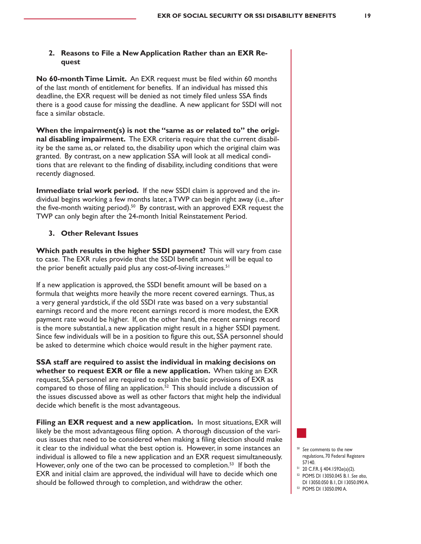#### **2. Reasons to File a New Application Rather than an EXR Request**

**No 60-month Time Limit.** An EXR request must be filed within 60 months of the last month of entitlement for benefits. If an individual has missed this deadline, the EXR request will be denied as not timely filed unless SSA finds there is a good cause for missing the deadline. A new applicant for SSDI will not face a similar obstacle.

**When the impairment(s) is not the "same as or related to" the original disabling impairment.** The EXR criteria require that the current disability be the same as, or related to, the disability upon which the original claim was granted. By contrast, on a new application SSA will look at all medical conditions that are relevant to the finding of disability, including conditions that were recently diagnosed.

**Immediate trial work period.** If the new SSDI claim is approved and the individual begins working a few months later, a TWP can begin right away (i.e., after the five-month waiting period).<sup>50</sup> By contrast, with an approved EXR request the TWP can only begin after the 24-month Initial Reinstatement Period.

#### **3. Other Relevant Issues**

**Which path results in the higher SSDI payment?** This will vary from case to case. The EXR rules provide that the SSDI benefit amount will be equal to the prior benefit actually paid plus any cost-of-living increases.<sup>51</sup>

If a new application is approved, the SSDI benefit amount will be based on a formula that weights more heavily the more recent covered earnings. Thus, as a very general yardstick, if the old SSDI rate was based on a very substantial earnings record and the more recent earnings record is more modest, the EXR payment rate would be higher. If, on the other hand, the recent earnings record is the more substantial, a new application might result in a higher SSDI payment. Since few individuals will be in a position to figure this out, SSA personnel should be asked to determine which choice would result in the higher payment rate.

**SSA staff are required to assist the individual in making decisions on whether to request EXR or file a new application.** When taking an EXR request, SSA personnel are required to explain the basic provisions of EXR as compared to those of filing an application.<sup>52</sup> This should include a discussion of the issues discussed above as well as other factors that might help the individual decide which benefit is the most advantageous.

**Filing an EXR request and a new application.** In most situations, EXR will likely be the most advantageous filing option. A thorough discussion of the various issues that need to be considered when making a filing election should make it clear to the individual what the best option is. However, in some instances an individual is allowed to file a new application and an EXR request simultaneously. However, only one of the two can be processed to completion.<sup>53</sup> If both the EXR and initial claim are approved, the individual will have to decide which one should be followed through to completion, and withdraw the other.



- <sup>50</sup> *See* comments to the new regulations, 70 Federal Registere 57140.
- <sup>51</sup> 20 C.F.R. § 404.1592e(a)(2).
- <sup>52</sup> POMS DI 13050.045 B.1. *See also*, DI 13050.050 B.1, DI 13050.090 A.
- <sup>53</sup> POMS DI 13050.090 A.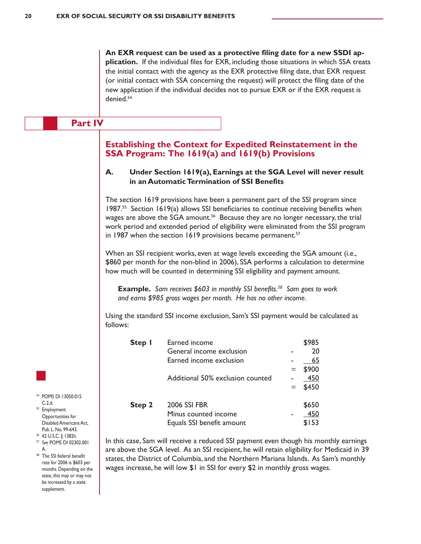**An EXR request can be used as a protective filing date for a new SSDI application.** If the individual files for EXR, including those situations in which SSA treats the initial contact with the agency as the EXR protective filing date, that EXR request (or initial contact with SSA concerning the request) will protect the filing date of the new application if the individual decides not to pursue EXR or if the EXR request is denied.54

#### **Part IV**

#### **Establishing the Context for Expedited Reinstatement in the SSA Program: The 1619(a) and 1619(b) Provisions**

#### **A. Under Section 1619(a), Earnings at the SGA Level will never result in an Automatic Termination of SSI Benefits**

The section 1619 provisions have been a permanent part of the SSI program since 1987.55 Section 1619(a) allows SSI beneficiaries to continue receiving benefits when wages are above the SGA amount.<sup>56</sup> Because they are no longer necessary, the trial work period and extended period of eligibility were eliminated from the SSI program in 1987 when the section 1619 provisions became permanent. $57$ 

When an SSI recipient works, even at wage levels exceeding the SGA amount (i.e., \$860 per month for the non-blind in 2006), SSA performs a calculation to determine how much will be counted in determining SSI eligibility and payment amount.

**Example.** *Sam receives \$603 in monthly SSI benefits.58 Sam goes to work and earns \$985 gross wages per month. He has no other income.*

Using the standard SSI income exclusion, Sam's SSI payment would be calculated as follows:

| Step I | Earned income                    |     | \$985 |
|--------|----------------------------------|-----|-------|
|        | General income exclusion         |     | 20    |
|        | Earned income exclusion          |     | 65    |
|        |                                  |     | \$900 |
|        | Additional 50% exclusion counted |     | 450   |
|        |                                  | $=$ | \$450 |
|        |                                  |     |       |
| Step 2 | <b>2006 SSI FBR</b>              |     | \$650 |
|        | Minus counted income             |     | 450   |
|        | Equals SSI benefit amount        |     | \$153 |

In this case, Sam will receive a reduced SSI payment even though his monthly earnings are above the SGA level. As an SSI recipient, he will retain eligibility for Medicaid in 39 states, the District of Columbia, and the Northern Mariana Islands. As Sam's monthly wages increase, he will low \$1 in SSI for every \$2 in monthly gross wages.



<sup>54</sup> POMS DI 13050.015 C.2.d. <sup>55</sup> Employment Opportunities for Disabled Americans Act, Pub. L. No. 99-643.

<sup>56</sup> 42 U.S.C. § 1382h.

<sup>57</sup> *See* POMS DI 02302.001 A.

<sup>58</sup> The SSI federal benefit rate for 2006 is \$603 per months. Depending on the state, this may or may not be increased by a state supplement.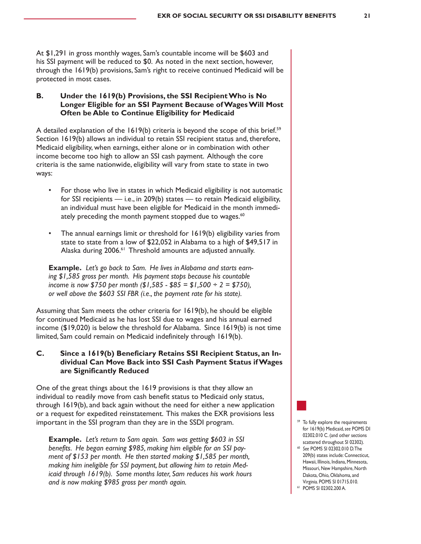At \$1,291 in gross monthly wages, Sam's countable income will be \$603 and his SSI payment will be reduced to \$0. As noted in the next section, however, through the 1619(b) provisions, Sam's right to receive continued Medicaid will be protected in most cases.

#### **B. Under the 1619(b) Provisions, the SSI Recipient Who is No Longer Eligible for an SSI Payment Because of Wages Will Most Often be Able to Continue Eligibility for Medicaid**

A detailed explanation of the  $1619(b)$  criteria is beyond the scope of this brief.<sup>59</sup> Section 1619(b) allows an individual to retain SSI recipient status and, therefore, Medicaid eligibility, when earnings, either alone or in combination with other income become too high to allow an SSI cash payment. Although the core criteria is the same nationwide, eligibility will vary from state to state in two ways:

- For those who live in states in which Medicaid eligibility is not automatic for SSI recipients — i.e., in 209(b) states — to retain Medicaid eligibility, an individual must have been eligible for Medicaid in the month immediately preceding the month payment stopped due to wages.<sup>60</sup>
- The annual earnings limit or threshold for 1619(b) eligibility varies from state to state from a low of \$22,052 in Alabama to a high of \$49,517 in Alaska during 2006.61 Threshold amounts are adjusted annually.

**Example.** *Let's go back to Sam. He lives in Alabama and starts earning \$1,585 gross per month. His payment stops because his countable income is now \$750 per month (\$1,585 - \$85 = \$1,500 ÷ 2 = \$750), or well above the \$603 SSI FBR (i.e., the payment rate for his state).*

Assuming that Sam meets the other criteria for 1619(b), he should be eligible for continued Medicaid as he has lost SSI due to wages and his annual earned income (\$19,020) is below the threshold for Alabama. Since 1619(b) is not time limited, Sam could remain on Medicaid indefinitely through 1619(b).

#### **C. Since a 1619(b) Beneficiary Retains SSI Recipient Status, an Individual Can Move Back into SSI Cash Payment Status if Wages are Significantly Reduced**

One of the great things about the 1619 provisions is that they allow an individual to readily move from cash benefit status to Medicaid only status, through 1619(b), and back again without the need for either a new application or a request for expedited reinstatement. This makes the EXR provisions less important in the SSI program than they are in the SSDI program.

**Example.** *Let's return to Sam again. Sam was getting \$603 in SSI benefits. He began earning \$985, making him eligible for an SSI payment of \$153 per month. He then started making \$1,585 per month, making him ineligible for SSI payment, but allowing him to retain Medicaid through 1619(b). Some months later, Sam reduces his work hours and is now making \$985 gross per month again.*

- <sup>59</sup> To fully explore the requirements for 1619(b) Medicaid,*see* POMS DI 02302.010 C. (and other sections scattered throughout SI 02302). <sup>60</sup> *See* POMS SI 02302.010 D.The
- 209(b) states include: Connecticut, Hawaii, Illinois, Indiana, Minnesota, Missouri, New Hampshire, North Dakota, Ohio, Oklahoma, and Virginia. POMS SI 01715.010.
- <sup>61</sup> POMS SI 02302.200 A.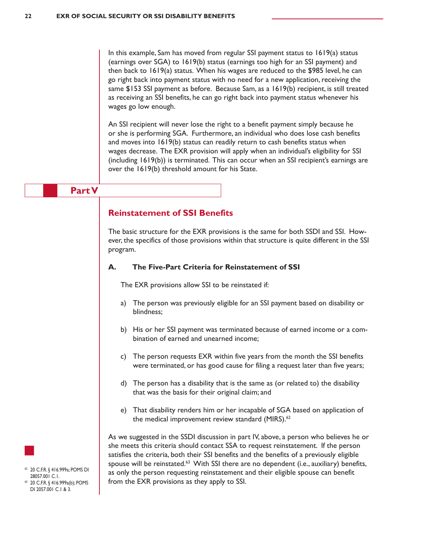In this example, Sam has moved from regular SSI payment status to 1619(a) status (earnings over SGA) to 1619(b) status (earnings too high for an SSI payment) and then back to 1619(a) status. When his wages are reduced to the \$985 level, he can go right back into payment status with no need for a new application, receiving the same \$153 SSI payment as before. Because Sam, as a 1619(b) recipient, is still treated as receiving an SSI benefits, he can go right back into payment status whenever his wages go low enough.

An SSI recipient will never lose the right to a benefit payment simply because he or she is performing SGA. Furthermore, an individual who does lose cash benefits and moves into 1619(b) status can readily return to cash benefits status when wages decrease. The EXR provision will apply when an individual's eligibility for SSI (including 1619(b)) is terminated. This can occur when an SSI recipient's earnings are over the 1619(b) threshold amount for his State.

#### **Part V**

#### **Reinstatement of SSI Benefits**

The basic structure for the EXR provisions is the same for both SSDI and SSI. However, the specifics of those provisions within that structure is quite different in the SSI program.

#### **A. The Five-Part Criteria for Reinstatement of SSI**

The EXR provisions allow SSI to be reinstated if:

- a) The person was previously eligible for an SSI payment based on disability or blindness;
- b) His or her SSI payment was terminated because of earned income or a combination of earned and unearned income;
- c) The person requests EXR within five years from the month the SSI benefits were terminated, or has good cause for filing a request later than five years;
- d) The person has a disability that is the same as (or related to) the disability that was the basis for their original claim; and
- e) That disability renders him or her incapable of SGA based on application of the medical improvement review standard (MIRS).<sup>62</sup>

As we suggested in the SSDI discussion in part IV, above, a person who believes he or she meets this criteria should contact SSA to request reinstatement. If the person satisfies the criteria, both their SSI benefits and the benefits of a previously eligible spouse will be reinstated.<sup>63</sup> With SSI there are no dependent (i.e., auxiliary) benefits, as only the person requesting reinstatement and their eligible spouse can benefit from the EXR provisions as they apply to SSI.



<sup>62</sup> 20 C.F.R. § 416.999a; POMS DI 28057.001 C.1. 20 C.F.R. § 416.999a(b); POMS

DI 2057.001 C.1 & 3.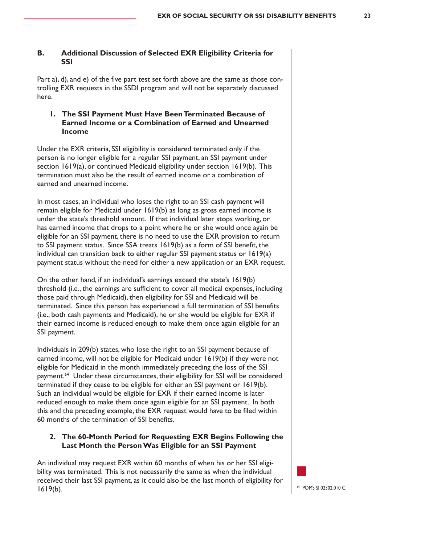#### **B. Additional Discussion of Selected EXR Eligibility Criteria for SSI**

Part a), d), and e) of the five part test set forth above are the same as those controlling EXR requests in the SSDI program and will not be separately discussed here.

#### **1. The SSI Payment Must Have Been Terminated Because of Earned Income or a Combination of Earned and Unearned Income**

Under the EXR criteria, SSI eligibility is considered terminated only if the person is no longer eligible for a regular SSI payment, an SSI payment under section 1619(a), or continued Medicaid eligibility under section 1619(b). This termination must also be the result of earned income or a combination of earned and unearned income.

In most cases, an individual who loses the right to an SSI cash payment will remain eligible for Medicaid under 1619(b) as long as gross earned income is under the state's threshold amount. If that individual later stops working, or has earned income that drops to a point where he or she would once again be eligible for an SSI payment, there is no need to use the EXR provision to return to SSI payment status. Since SSA treats 1619(b) as a form of SSI benefit, the individual can transition back to either regular SSI payment status or 1619(a) payment status without the need for either a new application or an EXR request.

On the other hand, if an individual's earnings exceed the state's 1619(b) threshold (i.e., the earnings are sufficient to cover all medical expenses, including those paid through Medicaid), then eligibility for SSI and Medicaid will be terminated. Since this person has experienced a full termination of SSI benefits (i.e., both cash payments and Medicaid), he or she would be eligible for EXR if their earned income is reduced enough to make them once again eligible for an SSI payment.

Individuals in 209(b) states, who lose the right to an SSI payment because of earned income, will not be eligible for Medicaid under 1619(b) if they were not eligible for Medicaid in the month immediately preceding the loss of the SSI payment.<sup>64</sup> Under these circumstances, their eligibility for SSI will be considered terminated if they cease to be eligible for either an SSI payment or 1619(b). Such an individual would be eligible for EXR if their earned income is later reduced enough to make them once again eligible for an SSI payment. In both this and the preceding example, the EXR request would have to be filed within 60 months of the termination of SSI benefits.

#### **2. The 60-Month Period for Requesting EXR Begins Following the Last Month the Person Was Eligible for an SSI Payment**

An individual may request EXR within 60 months of when his or her SSI eligibility was terminated. This is not necessarily the same as when the individual received their last SSI payment, as it could also be the last month of eligibility for  $1619(b)$ .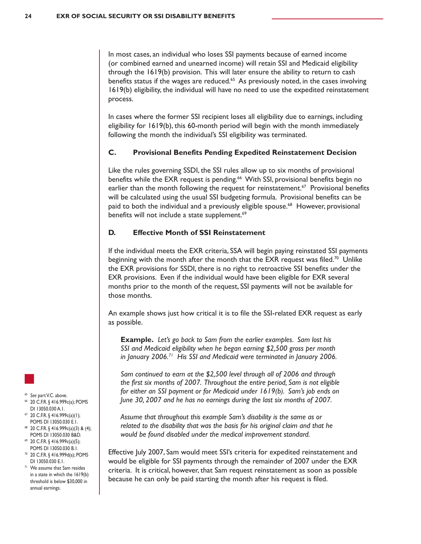In most cases, an individual who loses SSI payments because of earned income (or combined earned and unearned income) will retain SSI and Medicaid eligibility through the 1619(b) provision. This will later ensure the ability to return to cash benefits status if the wages are reduced.<sup>65</sup> As previously noted, in the cases involving 1619(b) eligibility, the individual will have no need to use the expedited reinstatement process.

In cases where the former SSI recipient loses all eligibility due to earnings, including eligibility for 1619(b), this 60-month period will begin with the month immediately following the month the individual's SSI eligibility was terminated.

#### **C. Provisional Benefits Pending Expedited Reinstatement Decision**

Like the rules governing SSDI, the SSI rules allow up to six months of provisional benefits while the EXR request is pending.<sup>66</sup> With SSI, provisional benefits begin no earlier than the month following the request for reinstatement.<sup>67</sup> Provisional benefits will be calculated using the usual SSI budgeting formula. Provisional benefits can be paid to both the individual and a previously eligible spouse.68 However, provisional benefits will not include a state supplement.<sup>69</sup>

#### **D. Effective Month of SSI Reinstatement**

If the individual meets the EXR criteria, SSA will begin paying reinstated SSI payments beginning with the month after the month that the EXR request was filed.<sup>70</sup> Unlike the EXR provisions for SSDI, there is no right to retroactive SSI benefits under the EXR provisions. Even if the individual would have been eligible for EXR several months prior to the month of the request, SSI payments will not be available for those months.

An example shows just how critical it is to file the SSI-related EXR request as early as possible.

**Example.** *Let's go back to Sam from the earlier examples. Sam lost his SSI and Medicaid eligibility when he began earning \$2,500 gross per month in January 2006.71 His SSI and Medicaid were terminated in January 2006.*

*Sam continued to earn at the \$2,500 level through all of 2006 and through the first six months of 2007. Throughout the entire period, Sam is not eligible for either an SSI payment or for Medicaid under 1619(b). Sam's job ends on June 30, 2007 and he has no earnings during the last six months of 2007.*

*Assume that throughout this example Sam's disability is the same as or related to the disability that was the basis for his original claim and that he would be found disabled under the medical improvement standard.*

Effective July 2007, Sam would meet SSI's criteria for expedited reinstatement and would be eligible for SSI payments through the remainder of 2007 under the EXR criteria. It is critical, however, that Sam request reinstatement as soon as possible because he can only be paid starting the month after his request is filed.

- <sup>65</sup> *See* partV.C. above.
- <sup>66</sup> 20 C.F.R. § 416.999c(a); POMS DI 13050.030 A.1.
- <sup>67</sup> 20 C.F.R. § 416.999c(a)(1); POMS DI 13050.030 E.1.
- <sup>68</sup> 20 C.F.R. § 416.999c(a)(3) & (4); POMS DI 13050.030 B&D.
- <sup>69</sup> 20 C.F.R. § 416.999c(a)(5); POMS DI 13050.030 B.1.
- <sup>70</sup> 20 C.F.R. § 416.999d(a); POMS DI 13050.030 E.1.
- <sup>71</sup> We assume that Sam resides in a state in which the 1619(b) threshold is below \$30,000 in annual earnings.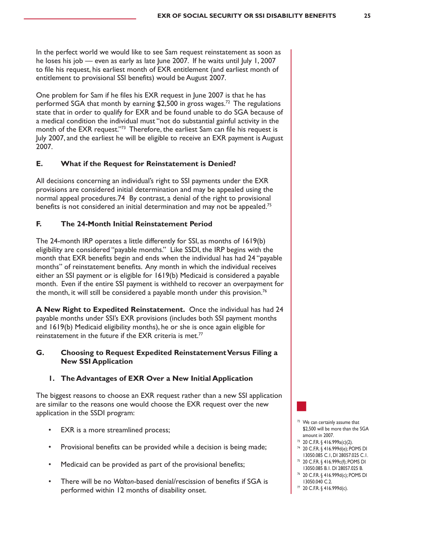In the perfect world we would like to see Sam request reinstatement as soon as he loses his job — even as early as late June 2007. If he waits until July 1, 2007 to file his request, his earliest month of EXR entitlement (and earliest month of entitlement to provisional SSI benefits) would be August 2007.

One problem for Sam if he files his EXR request in June 2007 is that he has performed SGA that month by earning \$2,500 in gross wages.<sup>72</sup> The regulations state that in order to qualify for EXR and be found unable to do SGA because of a medical condition the individual must "not do substantial gainful activity in the month of the EXR request."<sup>73</sup> Therefore, the earliest Sam can file his request is July 2007, and the earliest he will be eligible to receive an EXR payment is August 2007.

#### **E. What if the Request for Reinstatement is Denied?**

All decisions concerning an individual's right to SSI payments under the EXR provisions are considered initial determination and may be appealed using the normal appeal procedures.74 By contrast, a denial of the right to provisional benefits is not considered an initial determination and may not be appealed.<sup>75</sup>

#### **F. The 24-Month Initial Reinstatement Period**

The 24-month IRP operates a little differently for SSI, as months of 1619(b) eligibility are considered "payable months." Like SSDI, the IRP begins with the month that EXR benefits begin and ends when the individual has had 24 "payable months" of reinstatement benefits. Any month in which the individual receives either an SSI payment or is eligible for 1619(b) Medicaid is considered a payable month. Even if the entire SSI payment is withheld to recover an overpayment for the month, it will still be considered a payable month under this provision.<sup>76</sup>

**A New Right to Expedited Reinstatement.** Once the individual has had 24 payable months under SSI's EXR provisions (includes both SSI payment months and 1619(b) Medicaid eligibility months), he or she is once again eligible for reinstatement in the future if the EXR criteria is met.<sup>77</sup>

#### **G. Choosing to Request Expedited Reinstatement Versus Filing a New SSI Application**

#### **1. The Advantages of EXR Over a New Initial Application**

The biggest reasons to choose an EXR request rather than a new SSI application are similar to the reasons one would choose the EXR request over the new application in the SSDI program:

- EXR is a more streamlined process;
- Provisional benefits can be provided while a decision is being made;
- Medicaid can be provided as part of the provisional benefits;
- There will be no *Walton*-based denial/rescission of benefits if SGA is performed within 12 months of disability onset.
- <sup>72</sup> We can certainly assume that \$2,500 will be more than the SGA amount in 2007.
- <sup>73</sup> 20 C.F.R. § 416.999a(c)(2).
- <sup>74</sup> 20 C.F.R. § 416.999d(e); POMS DI 13050.085 C.1, DI 28057.025 C.1.
- <sup>75</sup> 20 C.F.R. § 416.999c(f); POMS DI 13050.085 B.1. DI 28057.025 B.
- <sup>76</sup> 20 C.F.R. § 416.999d(c); POMS DI 13050.040 C.2.
- <sup>77</sup> 20 C.F.R. § 416.999d(c).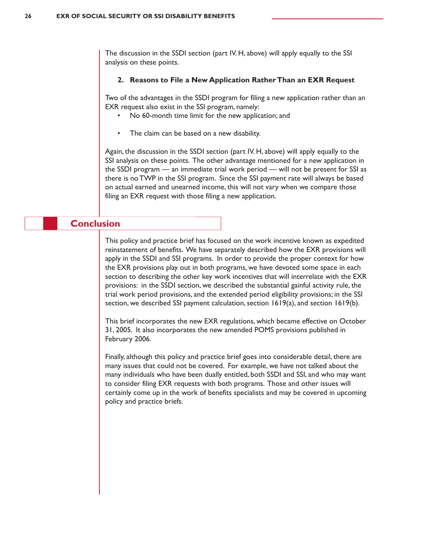The discussion in the SSDI section (part IV. H, above) will apply equally to the SSI analysis on these points.

#### **2. Reasons to File a New Application Rather Than an EXR Request**

Two of the advantages in the SSDI program for filing a new application rather than an EXR request also exist in the SSI program, namely:

- No 60-month time limit for the new application; and
- The claim can be based on a new disability.

Again, the discussion in the SSDI section (part IV. H, above) will apply equally to the SSI analysis on these points. The other advantage mentioned for a new application in the SSDI program — an immediate trial work period — will not be present for SSI as there is no TWP in the SSI program. Since the SSI payment rate will always be based on actual earned and unearned income, this will not vary when we compare those filing an EXR request with those filing a new application.

#### **Conclusion**

This policy and practice brief has focused on the work incentive known as expedited reinstatement of benefits. We have separately described how the EXR provisions will apply in the SSDI and SSI programs. In order to provide the proper context for how the EXR provisions play out in both programs, we have devoted some space in each section to describing the other key work incentives that will interrelate with the EXR provisions: in the SSDI section, we described the substantial gainful activity rule, the trial work period provisions, and the extended period eligibility provisions; in the SSI section, we described SSI payment calculation, section  $1619(a)$ , and section  $1619(b)$ .

This brief incorporates the new EXR regulations, which became effective on October 31, 2005. It also incorporates the new amended POMS provisions published in February 2006.

Finally, although this policy and practice brief goes into considerable detail, there are many issues that could not be covered. For example, we have not talked about the many individuals who have been dually entitled, both SSDI and SSI, and who may want to consider filing EXR requests with both programs. Those and other issues will certainly come up in the work of benefits specialists and may be covered in upcoming policy and practice briefs.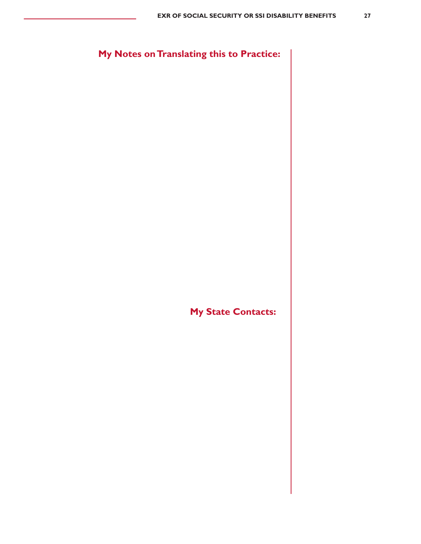**My Notes on Translating this to Practice:**

**My State Contacts:**